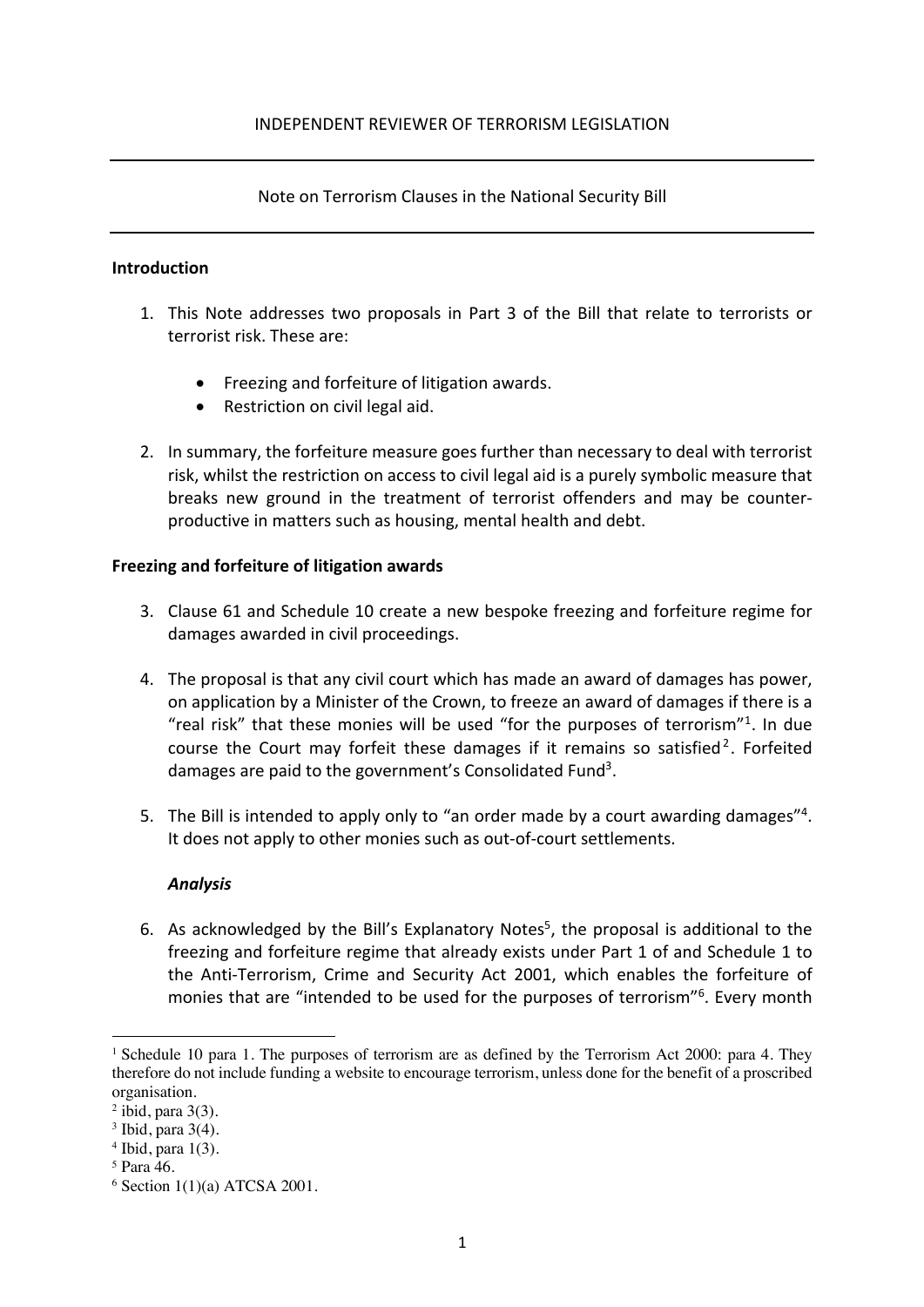# Note on Terrorism Clauses in the National Security Bill

## **Introduction**

- 1. This Note addresses two proposals in Part 3 of the Bill that relate to terrorists or terrorist risk. These are:
	- Freezing and forfeiture of litigation awards.
	- Restriction on civil legal aid.
- 2. In summary, the forfeiture measure goes further than necessary to deal with terrorist risk, whilst the restriction on access to civil legal aid is a purely symbolic measure that breaks new ground in the treatment of terrorist offenders and may be counterproductive in matters such as housing, mental health and debt.

## **Freezing and forfeiture of litigation awards**

- 3. Clause 61 and Schedule 10 create a new bespoke freezing and forfeiture regime for damages awarded in civil proceedings.
- 4. The proposal is that any civil court which has made an award of damages has power, on application by a Minister of the Crown, to freeze an award of damages if there is a "real risk" that these monies will be used "for the purposes of terrorism"1. In due course the Court may forfeit these damages if it remains so satisfied<sup>2</sup>. Forfeited damages are paid to the government's Consolidated Fund<sup>3</sup>.
- 5. The Bill is intended to apply only to "an order made by a court awarding damages"<sup>4</sup>. It does not apply to other monies such as out-of-court settlements.

## *Analysis*

6. As acknowledged by the Bill's Explanatory Notes<sup>5</sup>, the proposal is additional to the freezing and forfeiture regime that already exists under Part 1 of and Schedule 1 to the Anti-Terrorism, Crime and Security Act 2001, which enables the forfeiture of monies that are "intended to be used for the purposes of terrorism"<sup>6</sup>. Every month

<sup>1</sup> Schedule 10 para 1. The purposes of terrorism are as defined by the Terrorism Act 2000: para 4. They therefore do not include funding a website to encourage terrorism, unless done for the benefit of a proscribed organisation.

 $2$  ibid, para  $3(3)$ .

 $3$  Ibid, para  $3(4)$ .

 $4$  Ibid, para  $1(3)$ .

<sup>5</sup> Para 46.

 $6$  Section 1(1)(a) ATCSA 2001.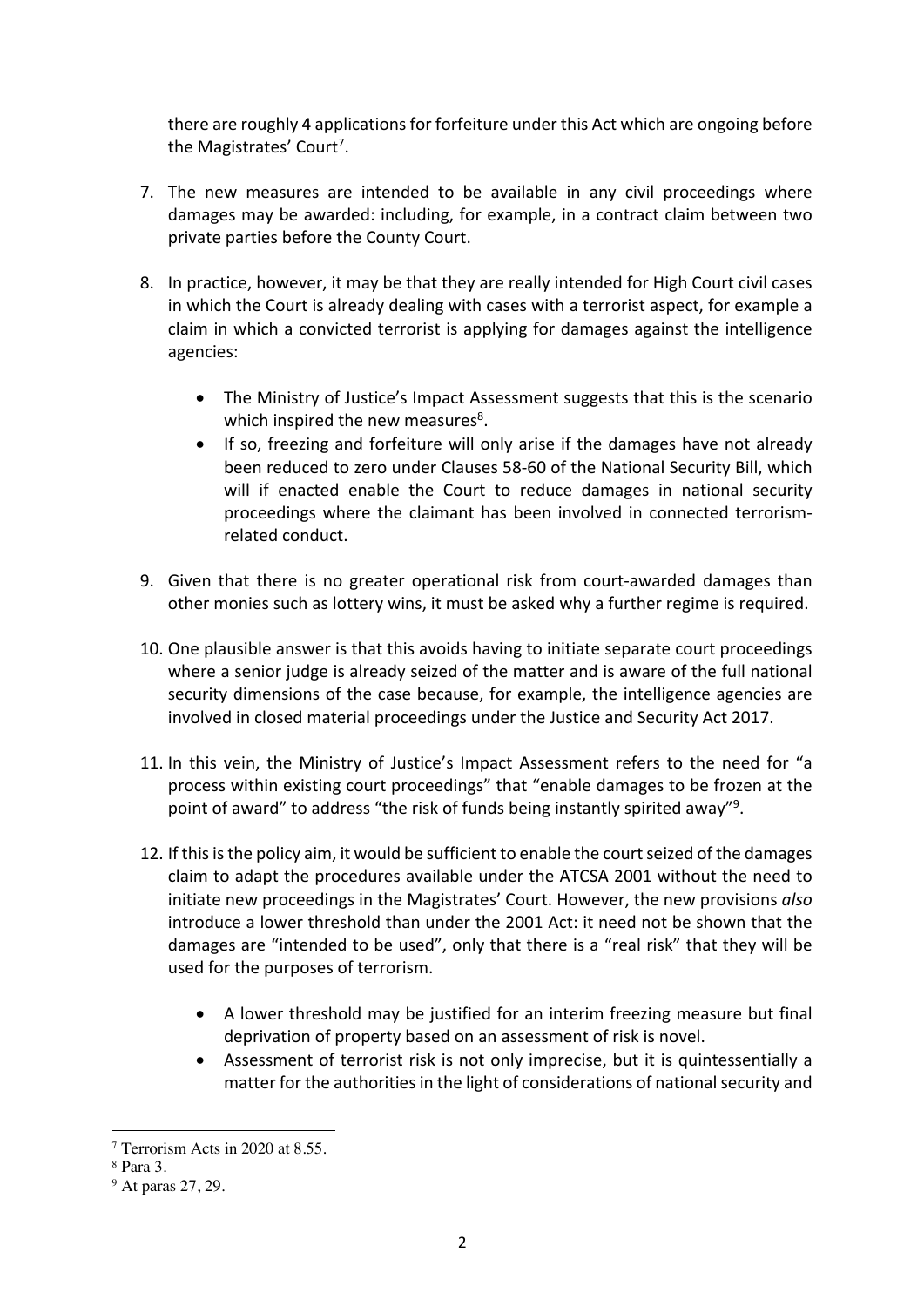there are roughly 4 applications for forfeiture under this Act which are ongoing before the Magistrates' Court<sup>7</sup>.

- 7. The new measures are intended to be available in any civil proceedings where damages may be awarded: including, for example, in a contract claim between two private parties before the County Court.
- 8. In practice, however, it may be that they are really intended for High Court civil cases in which the Court is already dealing with cases with a terrorist aspect, for example a claim in which a convicted terrorist is applying for damages against the intelligence agencies:
	- The Ministry of Justice's Impact Assessment suggests that this is the scenario which inspired the new measures<sup>8</sup>.
	- If so, freezing and forfeiture will only arise if the damages have not already been reduced to zero under Clauses 58-60 of the National Security Bill, which will if enacted enable the Court to reduce damages in national security proceedings where the claimant has been involved in connected terrorismrelated conduct.
- 9. Given that there is no greater operational risk from court-awarded damages than other monies such as lottery wins, it must be asked why a further regime is required.
- 10. One plausible answer is that this avoids having to initiate separate court proceedings where a senior judge is already seized of the matter and is aware of the full national security dimensions of the case because, for example, the intelligence agencies are involved in closed material proceedings under the Justice and Security Act 2017.
- 11. In this vein, the Ministry of Justice's Impact Assessment refers to the need for "a process within existing court proceedings" that "enable damages to be frozen at the point of award" to address "the risk of funds being instantly spirited away"<sup>9</sup>.
- 12. If this is the policy aim, it would be sufficient to enable the court seized of the damages claim to adapt the procedures available under the ATCSA 2001 without the need to initiate new proceedings in the Magistrates' Court. However, the new provisions *also* introduce a lower threshold than under the 2001 Act: it need not be shown that the damages are "intended to be used", only that there is a "real risk" that they will be used for the purposes of terrorism.
	- A lower threshold may be justified for an interim freezing measure but final deprivation of property based on an assessment of risk is novel.
	- Assessment of terrorist risk is not only imprecise, but it is quintessentially a matter for the authorities in the light of considerations of national security and

<sup>7</sup> Terrorism Acts in 2020 at 8.55.

<sup>8</sup> Para 3.

<sup>9</sup> At paras 27, 29.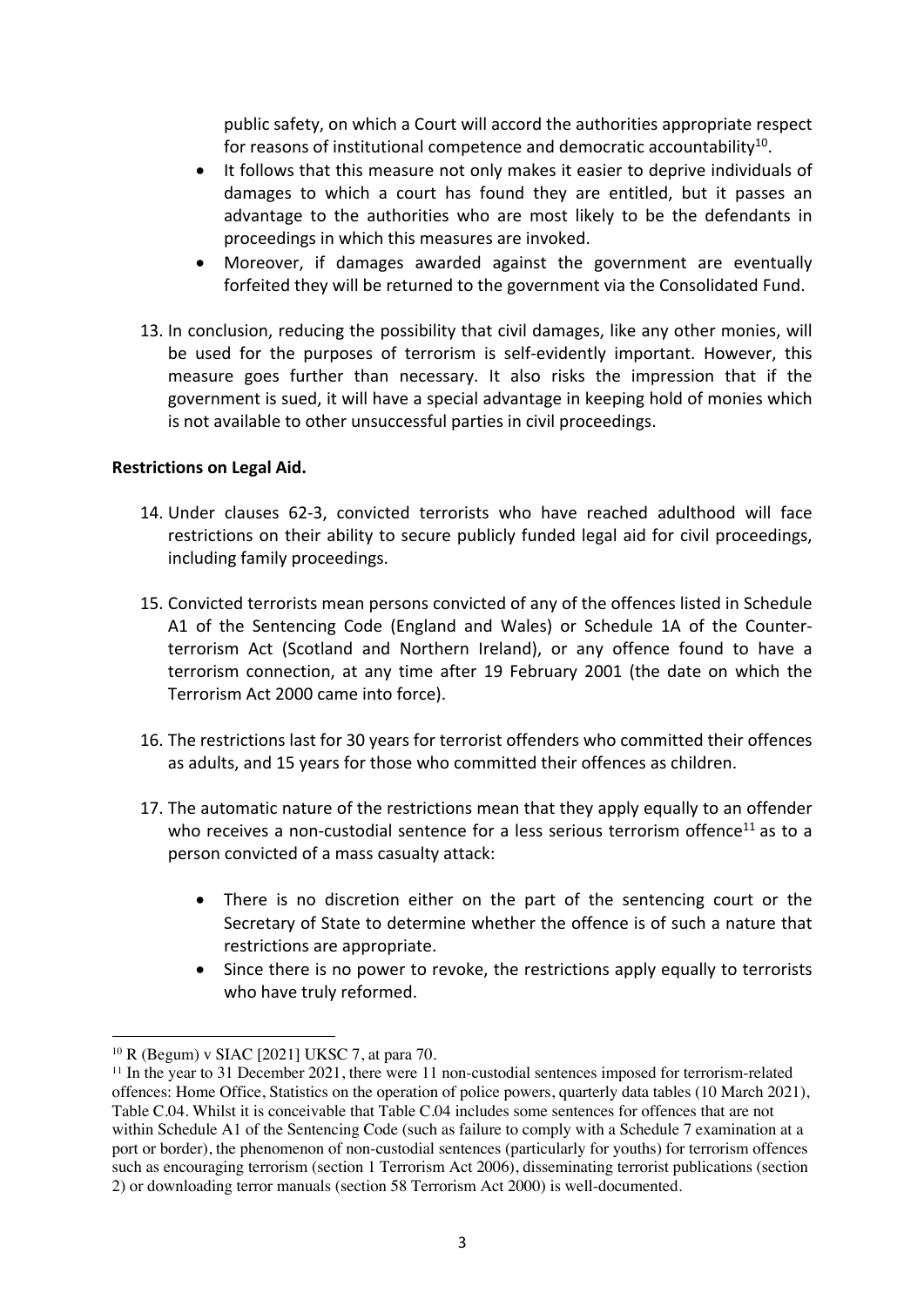public safety, on which a Court will accord the authorities appropriate respect for reasons of institutional competence and democratic accountability<sup>10</sup>.

- It follows that this measure not only makes it easier to deprive individuals of damages to which a court has found they are entitled, but it passes an advantage to the authorities who are most likely to be the defendants in proceedings in which this measures are invoked.
- Moreover, if damages awarded against the government are eventually forfeited they will be returned to the government via the Consolidated Fund.
- 13. In conclusion, reducing the possibility that civil damages, like any other monies, will be used for the purposes of terrorism is self-evidently important. However, this measure goes further than necessary. It also risks the impression that if the government is sued, it will have a special advantage in keeping hold of monies which is not available to other unsuccessful parties in civil proceedings.

## **Restrictions on Legal Aid.**

- 14. Under clauses 62-3, convicted terrorists who have reached adulthood will face restrictions on their ability to secure publicly funded legal aid for civil proceedings, including family proceedings.
- 15. Convicted terrorists mean persons convicted of any of the offences listed in Schedule A1 of the Sentencing Code (England and Wales) or Schedule 1A of the Counterterrorism Act (Scotland and Northern Ireland), or any offence found to have a terrorism connection, at any time after 19 February 2001 (the date on which the Terrorism Act 2000 came into force).
- 16. The restrictions last for 30 years for terrorist offenders who committed their offences as adults, and 15 years for those who committed their offences as children.
- 17. The automatic nature of the restrictions mean that they apply equally to an offender who receives a non-custodial sentence for a less serious terrorism offence<sup>11</sup> as to a person convicted of a mass casualty attack:
	- There is no discretion either on the part of the sentencing court or the Secretary of State to determine whether the offence is of such a nature that restrictions are appropriate.
	- Since there is no power to revoke, the restrictions apply equally to terrorists who have truly reformed.

<sup>10</sup> R (Begum) v SIAC [2021] UKSC 7, at para 70.

<sup>&</sup>lt;sup>11</sup> In the year to 31 December 2021, there were 11 non-custodial sentences imposed for terrorism-related offences: Home Office, Statistics on the operation of police powers, quarterly data tables (10 March 2021), Table C.04. Whilst it is conceivable that Table C.04 includes some sentences for offences that are not within Schedule A1 of the Sentencing Code (such as failure to comply with a Schedule 7 examination at a port or border), the phenomenon of non-custodial sentences (particularly for youths) for terrorism offences such as encouraging terrorism (section 1 Terrorism Act 2006), disseminating terrorist publications (section 2) or downloading terror manuals (section 58 Terrorism Act 2000) is well-documented.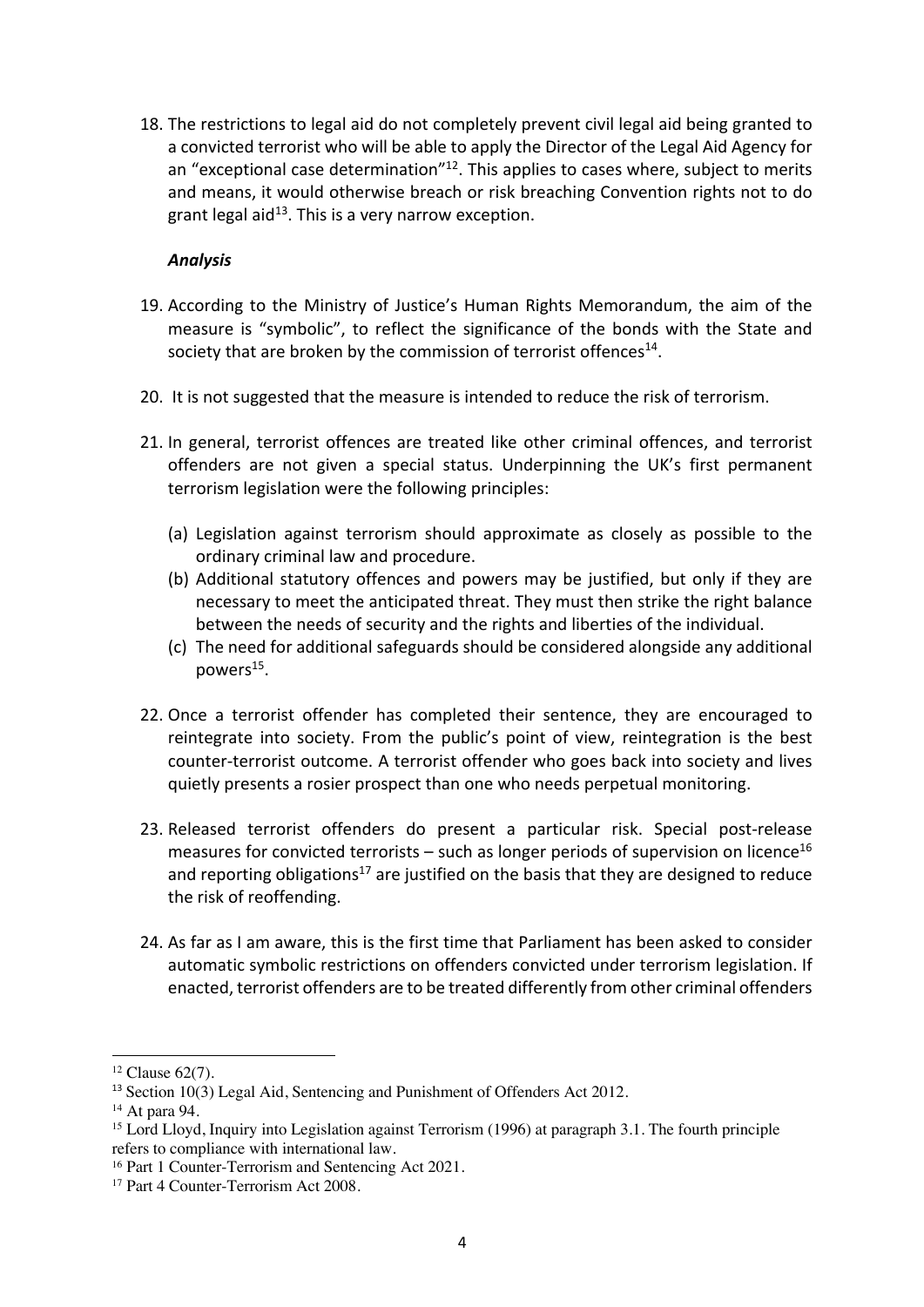18. The restrictions to legal aid do not completely prevent civil legal aid being granted to a convicted terrorist who will be able to apply the Director of the Legal Aid Agency for an "exceptional case determination"<sup>12</sup>. This applies to cases where, subject to merits and means, it would otherwise breach or risk breaching Convention rights not to do grant legal aid<sup>13</sup>. This is a very narrow exception.

# *Analysis*

- 19. According to the Ministry of Justice's Human Rights Memorandum, the aim of the measure is "symbolic", to reflect the significance of the bonds with the State and society that are broken by the commission of terrorist offences<sup>14</sup>.
- 20. It is not suggested that the measure is intended to reduce the risk of terrorism.
- 21. In general, terrorist offences are treated like other criminal offences, and terrorist offenders are not given a special status. Underpinning the UK's first permanent terrorism legislation were the following principles:
	- (a) Legislation against terrorism should approximate as closely as possible to the ordinary criminal law and procedure.
	- (b) Additional statutory offences and powers may be justified, but only if they are necessary to meet the anticipated threat. They must then strike the right balance between the needs of security and the rights and liberties of the individual.
	- (c) The need for additional safeguards should be considered alongside any additional powers<sup>15</sup>.
- 22. Once a terrorist offender has completed their sentence, they are encouraged to reintegrate into society. From the public's point of view, reintegration is the best counter-terrorist outcome. A terrorist offender who goes back into society and lives quietly presents a rosier prospect than one who needs perpetual monitoring.
- 23. Released terrorist offenders do present a particular risk. Special post-release measures for convicted terrorists – such as longer periods of supervision on licence<sup>16</sup> and reporting obligations<sup>17</sup> are justified on the basis that they are designed to reduce the risk of reoffending.
- 24. As far as I am aware, this is the first time that Parliament has been asked to consider automatic symbolic restrictions on offenders convicted under terrorism legislation. If enacted, terrorist offenders are to be treated differently from other criminal offenders

<sup>12</sup> Clause 62(7).

<sup>&</sup>lt;sup>13</sup> Section 10(3) Legal Aid, Sentencing and Punishment of Offenders Act 2012.<br><sup>14</sup> At para 94.

<sup>&</sup>lt;sup>15</sup> Lord Lloyd, Inquiry into Legislation against Terrorism (1996) at paragraph 3.1. The fourth principle refers to compliance with international law.

<sup>16</sup> Part 1 Counter-Terrorism and Sentencing Act 2021.

<sup>&</sup>lt;sup>17</sup> Part 4 Counter-Terrorism Act 2008.